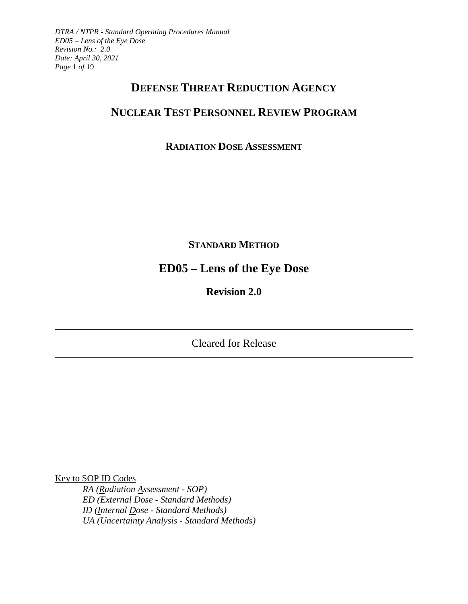*DTRA / NTPR - Standard Operating Procedures Manual ED05 – Lens of the Eye Dose Revision No.: 2.0 Date: April 30, 2021 Page* 1 *of* 19

## **DEFENSE THREAT REDUCTION AGENCY**

# **NUCLEAR TEST PERSONNEL REVIEW PROGRAM**

## **RADIATION DOSE ASSESSMENT**

**STANDARD METHOD**

# **ED05 – Lens of the Eye Dose**

**Revision 2.0** 

Cleared for Release

Key to SOP ID Codes

*RA (Radiation Assessment - SOP) ED (External Dose - Standard Methods) ID (Internal Dose - Standard Methods) UA (Uncertainty Analysis - Standard Methods)*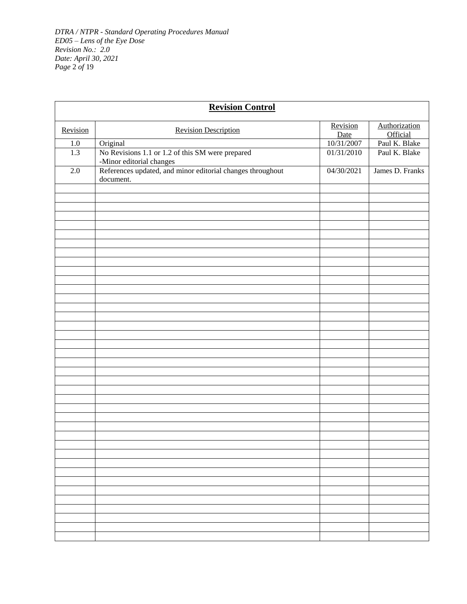|                  | <b>Revision Control</b>                                                                             |                         |                                  |
|------------------|-----------------------------------------------------------------------------------------------------|-------------------------|----------------------------------|
| Revision         | <b>Revision Description</b>                                                                         | Revision<br><b>Date</b> | Authorization<br><b>Official</b> |
| $1.0\,$          | Original                                                                                            | 10/31/2007              | Paul K. Blake                    |
| $\overline{1.3}$ | No Revisions 1.1 or 1.2 of this SM were prepared                                                    | 01/31/2010              | Paul K. Blake                    |
| 2.0              | -Minor editorial changes<br>References updated, and minor editorial changes throughout<br>document. | 04/30/2021              | James D. Franks                  |
|                  |                                                                                                     |                         |                                  |
|                  |                                                                                                     |                         |                                  |
|                  |                                                                                                     |                         |                                  |
|                  |                                                                                                     |                         |                                  |
|                  |                                                                                                     |                         |                                  |
|                  |                                                                                                     |                         |                                  |
|                  |                                                                                                     |                         |                                  |
|                  |                                                                                                     |                         |                                  |
|                  |                                                                                                     |                         |                                  |
|                  |                                                                                                     |                         |                                  |
|                  |                                                                                                     |                         |                                  |
|                  |                                                                                                     |                         |                                  |
|                  |                                                                                                     |                         |                                  |
|                  |                                                                                                     |                         |                                  |
|                  |                                                                                                     |                         |                                  |
|                  |                                                                                                     |                         |                                  |
|                  |                                                                                                     |                         |                                  |
|                  |                                                                                                     |                         |                                  |
|                  |                                                                                                     |                         |                                  |
|                  |                                                                                                     |                         |                                  |
|                  |                                                                                                     |                         |                                  |
|                  |                                                                                                     |                         |                                  |
|                  |                                                                                                     |                         |                                  |
|                  |                                                                                                     |                         |                                  |
|                  |                                                                                                     |                         |                                  |
|                  |                                                                                                     |                         |                                  |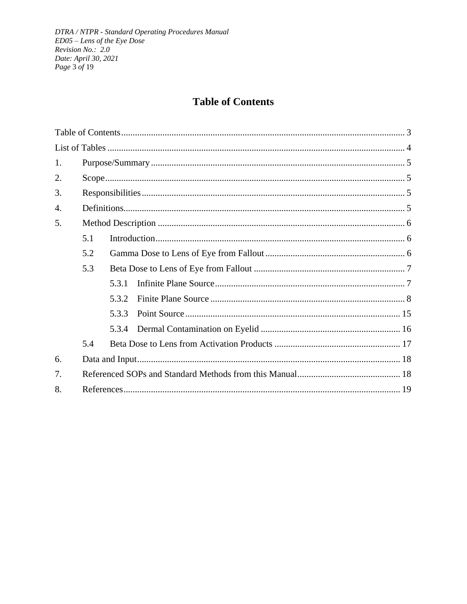# **Table of Contents**

<span id="page-2-0"></span>

| 1.               |     |       |  |  |  |  |
|------------------|-----|-------|--|--|--|--|
| 2.               |     |       |  |  |  |  |
| 3.               |     |       |  |  |  |  |
| $\overline{4}$ . |     |       |  |  |  |  |
| 5.               |     |       |  |  |  |  |
|                  | 5.1 |       |  |  |  |  |
|                  | 5.2 |       |  |  |  |  |
|                  | 5.3 |       |  |  |  |  |
|                  |     | 5.3.1 |  |  |  |  |
|                  |     | 5.3.2 |  |  |  |  |
|                  |     | 5.3.3 |  |  |  |  |
|                  |     | 5.3.4 |  |  |  |  |
|                  | 5.4 |       |  |  |  |  |
| 6.               |     |       |  |  |  |  |
| 7.               |     |       |  |  |  |  |
| 8.               |     |       |  |  |  |  |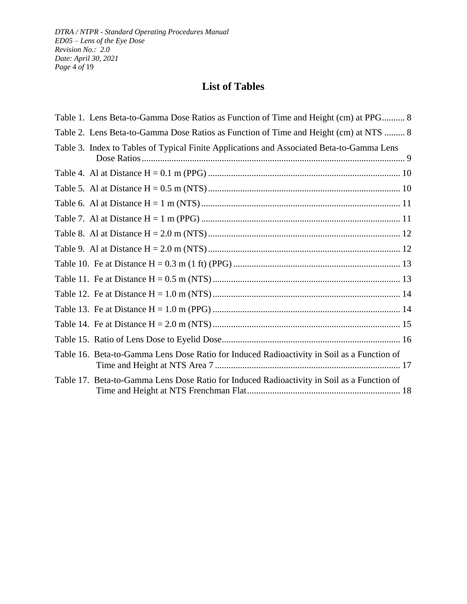*DTRA / NTPR - Standard Operating Procedures Manual ED05 – Lens of the Eye Dose Revision No.: 2.0 Date: April 30, 2021 Page* 4 *of* 19

# **List of Tables**

<span id="page-3-0"></span>

| Table 1. Lens Beta-to-Gamma Dose Ratios as Function of Time and Height (cm) at PPG 8       |
|--------------------------------------------------------------------------------------------|
| Table 2. Lens Beta-to-Gamma Dose Ratios as Function of Time and Height (cm) at NTS  8      |
| Table 3. Index to Tables of Typical Finite Applications and Associated Beta-to-Gamma Lens  |
|                                                                                            |
|                                                                                            |
|                                                                                            |
|                                                                                            |
|                                                                                            |
|                                                                                            |
|                                                                                            |
|                                                                                            |
|                                                                                            |
|                                                                                            |
|                                                                                            |
|                                                                                            |
| Table 16. Beta-to-Gamma Lens Dose Ratio for Induced Radioactivity in Soil as a Function of |
| Table 17. Beta-to-Gamma Lens Dose Ratio for Induced Radioactivity in Soil as a Function of |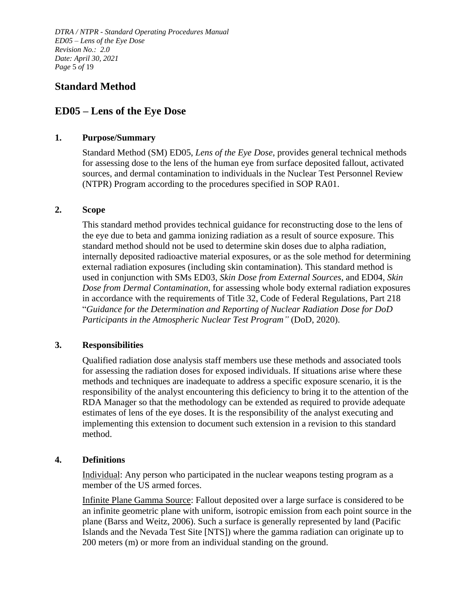*DTRA / NTPR - Standard Operating Procedures Manual ED05 – Lens of the Eye Dose Revision No.: 2.0 Date: April 30, 2021 Page* 5 *of* 19

### **Standard Method**

## **ED05 – Lens of the Eye Dose**

#### <span id="page-4-0"></span>**1. Purpose/Summary**

Standard Method (SM) ED05, *Lens of the Eye Dose*, provides general technical methods for assessing dose to the lens of the human eye from surface deposited fallout, activated sources, and dermal contamination to individuals in the Nuclear Test Personnel Review (NTPR) Program according to the procedures specified in SOP RA01.

#### <span id="page-4-1"></span>**2. Scope**

This standard method provides technical guidance for reconstructing dose to the lens of the eye due to beta and gamma ionizing radiation as a result of source exposure. This standard method should not be used to determine skin doses due to alpha radiation, internally deposited radioactive material exposures, or as the sole method for determining external radiation exposures (including skin contamination). This standard method is used in conjunction with SMs ED03, *Skin Dose from External Sources*, and ED04, *Skin Dose from Dermal Contamination*, for assessing whole body external radiation exposures in accordance with the requirements of Title 32, Code of Federal Regulations, Part 218 "*Guidance for the Determination and Reporting of Nuclear Radiation Dose for DoD Participants in the Atmospheric Nuclear Test Program"* (DoD, 2020).

#### <span id="page-4-2"></span>**3. Responsibilities**

Qualified radiation dose analysis staff members use these methods and associated tools for assessing the radiation doses for exposed individuals. If situations arise where these methods and techniques are inadequate to address a specific exposure scenario, it is the responsibility of the analyst encountering this deficiency to bring it to the attention of the RDA Manager so that the methodology can be extended as required to provide adequate estimates of lens of the eye doses. It is the responsibility of the analyst executing and implementing this extension to document such extension in a revision to this standard method.

#### <span id="page-4-3"></span>**4. Definitions**

Individual: Any person who participated in the nuclear weapons testing program as a member of the US armed forces.

Infinite Plane Gamma Source: Fallout deposited over a large surface is considered to be an infinite geometric plane with uniform, isotropic emission from each point source in the plane (Barss and Weitz, 2006). Such a surface is generally represented by land (Pacific Islands and the Nevada Test Site [NTS]) where the gamma radiation can originate up to 200 meters (m) or more from an individual standing on the ground.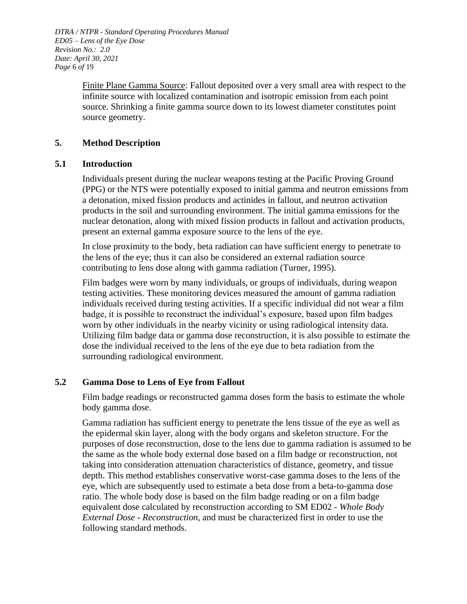*DTRA / NTPR - Standard Operating Procedures Manual ED05 – Lens of the Eye Dose Revision No.: 2.0 Date: April 30, 2021 Page* 6 *of* 19

> Finite Plane Gamma Source: Fallout deposited over a very small area with respect to the infinite source with localized contamination and isotropic emission from each point source. Shrinking a finite gamma source down to its lowest diameter constitutes point source geometry.

#### <span id="page-5-0"></span>**5. Method Description**

#### <span id="page-5-1"></span>**5.1 Introduction**

Individuals present during the nuclear weapons testing at the Pacific Proving Ground (PPG) or the NTS were potentially exposed to initial gamma and neutron emissions from a detonation, mixed fission products and actinides in fallout, and neutron activation products in the soil and surrounding environment. The initial gamma emissions for the nuclear detonation, along with mixed fission products in fallout and activation products, present an external gamma exposure source to the lens of the eye.

In close proximity to the body, beta radiation can have sufficient energy to penetrate to the lens of the eye; thus it can also be considered an external radiation source contributing to lens dose along with gamma radiation (Turner, 1995).

Film badges were worn by many individuals, or groups of individuals, during weapon testing activities. These monitoring devices measured the amount of gamma radiation individuals received during testing activities. If a specific individual did not wear a film badge, it is possible to reconstruct the individual's exposure, based upon film badges worn by other individuals in the nearby vicinity or using radiological intensity data. Utilizing film badge data or gamma dose reconstruction, it is also possible to estimate the dose the individual received to the lens of the eye due to beta radiation from the surrounding radiological environment.

#### <span id="page-5-2"></span>**5.2 Gamma Dose to Lens of Eye from Fallout**

Film badge readings or reconstructed gamma doses form the basis to estimate the whole body gamma dose.

Gamma radiation has sufficient energy to penetrate the lens tissue of the eye as well as the epidermal skin layer, along with the body organs and skeleton structure. For the purposes of dose reconstruction, dose to the lens due to gamma radiation is assumed to be the same as the whole body external dose based on a film badge or reconstruction, not taking into consideration attenuation characteristics of distance, geometry, and tissue depth. This method establishes conservative worst-case gamma doses to the lens of the eye, which are subsequently used to estimate a beta dose from a beta-to-gamma dose ratio. The whole body dose is based on the film badge reading or on a film badge equivalent dose calculated by reconstruction according to SM ED02 - *Whole Body External Dose - Reconstruction*, and must be characterized first in order to use the following standard methods.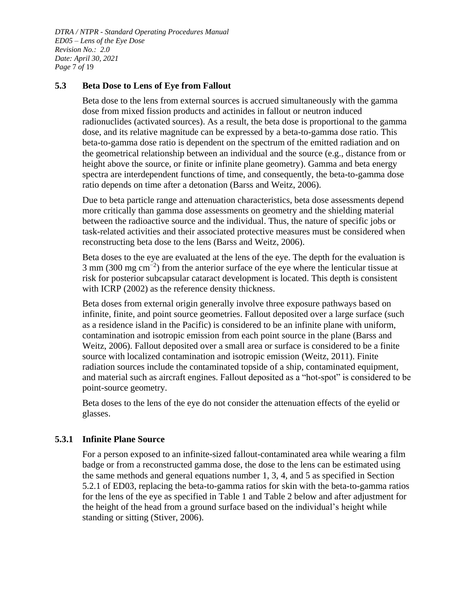*DTRA / NTPR - Standard Operating Procedures Manual ED05 – Lens of the Eye Dose Revision No.: 2.0 Date: April 30, 2021 Page* 7 *of* 19

#### <span id="page-6-0"></span>**5.3 Beta Dose to Lens of Eye from Fallout**

Beta dose to the lens from external sources is accrued simultaneously with the gamma dose from mixed fission products and actinides in fallout or neutron induced radionuclides (activated sources). As a result, the beta dose is proportional to the gamma dose, and its relative magnitude can be expressed by a beta-to-gamma dose ratio. This beta-to-gamma dose ratio is dependent on the spectrum of the emitted radiation and on the geometrical relationship between an individual and the source (e.g., distance from or height above the source, or finite or infinite plane geometry). Gamma and beta energy spectra are interdependent functions of time, and consequently, the beta-to-gamma dose ratio depends on time after a detonation (Barss and Weitz, 2006).

Due to beta particle range and attenuation characteristics, beta dose assessments depend more critically than gamma dose assessments on geometry and the shielding material between the radioactive source and the individual. Thus, the nature of specific jobs or task-related activities and their associated protective measures must be considered when reconstructing beta dose to the lens (Barss and Weitz, 2006).

Beta doses to the eye are evaluated at the lens of the eye. The depth for the evaluation is 3 mm (300 mg cm<sup>-2</sup>) from the anterior surface of the eye where the lenticular tissue at risk for posterior subcapsular cataract development is located. This depth is consistent with ICRP (2002) as the reference density thickness.

Beta doses from external origin generally involve three exposure pathways based on infinite, finite, and point source geometries. Fallout deposited over a large surface (such as a residence island in the Pacific) is considered to be an infinite plane with uniform, contamination and isotropic emission from each point source in the plane (Barss and Weitz, 2006). Fallout deposited over a small area or surface is considered to be a finite source with localized contamination and isotropic emission (Weitz, 2011). Finite radiation sources include the contaminated topside of a ship, contaminated equipment, and material such as aircraft engines. Fallout deposited as a "hot-spot" is considered to be point-source geometry.

Beta doses to the lens of the eye do not consider the attenuation effects of the eyelid or glasses.

#### <span id="page-6-1"></span>**5.3.1 Infinite Plane Source**

For a person exposed to an infinite-sized fallout-contaminated area while wearing a film badge or from a reconstructed gamma dose, the dose to the lens can be estimated using the same methods and general equations number 1, 3, 4, and 5 as specified in Section 5.2.1 of ED03, replacing the beta-to-gamma ratios for skin with the beta-to-gamma ratios for the lens of the eye as specified in [Table 1](#page-7-1) and [Table 2](#page-7-2) below and after adjustment for the height of the head from a ground surface based on the individual's height while standing or sitting (Stiver, 2006).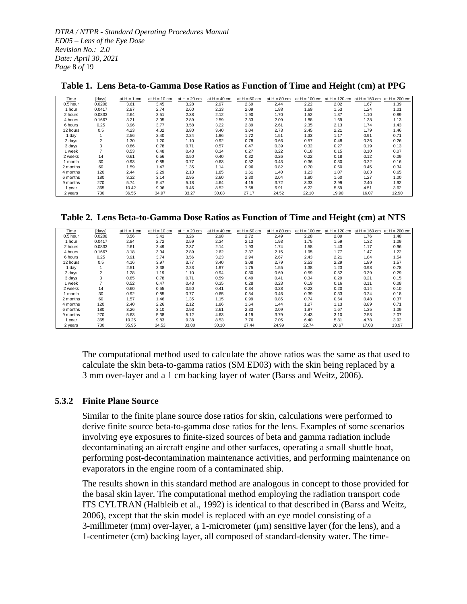*DTRA / NTPR - Standard Operating Procedures Manual ED05 – Lens of the Eye Dose Revision No.: 2.0 Date: April 30, 2021 Page* 8 *of* 19

| Time     | [days]         | at $H = 1$ cm | at $H = 10$ cm | at $H = 20$ cm | at $H = 40$ cm | at $H = 60$ cm | at $H = 80$ cm | at $H = 100$ cm | at $H = 120$ cm | at $H = 160$ cm | at $H = 200$ cm |
|----------|----------------|---------------|----------------|----------------|----------------|----------------|----------------|-----------------|-----------------|-----------------|-----------------|
| 0.5 hour | 0.0208         | 3.61          | 3.45           | 3.28           | 2.97           | 2.69           | 2.44           | 2.22            | 2.02            | 1.67            | 1.39            |
| 1 hour   | 0.0417         | 2.87          | 2.74           | 2.60           | 2.33           | 2.09           | 1.88           | 1.69            | 1.53            | 1.24            | 1.01            |
| 2 hours  | 0.0833         | 2.64          | 2.51           | 2.38           | 2.12           | 1.90           | 1.70           | 1.52            | 1.37            | 1.10            | 0.89            |
| 4 hours  | 0.1667         | 3.21          | 3.05           | 2.89           | 2.59           | 2.33           | 2.09           | 1.88            | 1.69            | 1.38            | 1.13            |
| 6 hours  | 0.25           | 3.96          | 3.77           | 3.58           | 3.22           | 2.89           | 2.61           | 2.35            | 2.13            | 1.74            | 1.43            |
| 12 hours | 0.5            | 4.23          | 4.02           | 3.80           | 3.40           | 3.04           | 2.73           | 2.45            | 2.21            | 1.79            | 1.46            |
| 1 dav    |                | 2.56          | 2.40           | 2.24           | 1.96           | 1.72           | 1.51           | 1.33            | 1.17            | 0.91            | 0.71            |
| 2 days   | $\overline{2}$ | 1.30          | 1.20           | 1.10           | 0.92           | 0.78           | 0.66           | 0.57            | 0.48            | 0.36            | 0.26            |
| 3 days   | 3              | 0.86          | 0.78           | 0.71           | 0.57           | 0.47           | 0.39           | 0.32            | 0.27            | 0.19            | 0.13            |
| 1 week   |                | 0.53          | 0.48           | 0.43           | 0.34           | 0.27           | 0.22           | 0.18            | 0.15            | 0.10            | 0.07            |
| 2 weeks  | 14             | 0.61          | 0.56           | 0.50           | 0.40           | 0.32           | 0.26           | 0.22            | 0.18            | 0.12            | 0.09            |
| l month  | 30             | 0.93          | 0.85           | 0.77           | 0.63           | 0.52           | 0.43           | 0.36            | 0.30            | 0.22            | 0.16            |
| 2 months | 60             | 1.59          | 1.47           | 1.35           | 1.14           | 0.96           | 0.82           | 0.70            | 0.60            | 0.45            | 0.34            |
| 4 months | 120            | 2.44          | 2.29           | 2.13           | 1.85           | 1.61           | 1.40           | 1.23            | 1.07            | 0.83            | 0.65            |
| 6 months | 180            | 3.32          | 3.14           | 2.95           | 2.60           | 2.30           | 2.04           | 1.80            | 1.60            | 1.27            | 1.00            |
| 9 months | 270            | 5.74          | 5.47           | 5.18           | 4.64           | 4.15           | 3.72           | 3.33            | 2.99            | 2.40            | 1.92            |
| year     | 365            | 10.42         | 9.96           | 9.46           | 8.52           | 7.68           | 6.91           | 6.22            | 5.59            | 4.51            | 3.62            |
| 2 years  | 730            | 36.55         | 34.97          | 33.27          | 30.08          | 27.17          | 24.52          | 22.10           | 19.90           | 16.07           | 12.90           |

#### <span id="page-7-1"></span>**Table 1. Lens Beta-to-Gamma Dose Ratios as Function of Time and Height (cm) at PPG**

<span id="page-7-2"></span>**Table 2. Lens Beta-to-Gamma Dose Ratios as Function of Time and Height (cm) at NTS**

| Time     | [days] | at $H = 1$ cm | at $H = 10$ cm | at $H = 20$ cm | at $H = 40$ cm | at $H = 60$ cm | at $H = 80$ cm | at $H = 100$ cm | at $H = 120$ cm | at $H = 160$ cm | at $H = 200$ cm |
|----------|--------|---------------|----------------|----------------|----------------|----------------|----------------|-----------------|-----------------|-----------------|-----------------|
| 0.5 hour | 0.0208 | 3.56          | 3.41           | 3.26           | 2.98           | 2.72           | 2.49           | 2.28            | 2.09            | 1.76            | 1.48            |
| 1 hour   | 0.0417 | 2.84          | 2.72           | 2.59           | 2.34           | 2.13           | 1.93           | 1.75            | 1.59            | 1.32            | 1.09            |
| 2 hours  | 0.0833 | 2.61          | 2.49           | 2.37           | 2.14           | 1.93           | 1.74           | 1.58            | 1.43            | 1.17            | 0.96            |
| 4 hours  | 0.1667 | 3.18          | 3.04           | 2.89           | 2.62           | 2.37           | 2.15           | 1.95            | 1.77            | 1.47            | 1.22            |
| 6 hours  | 0.25   | 3.91          | 3.74           | 3.56           | 3.23           | 2.94           | 2.67           | 2.43            | 2.21            | 1.84            | 1.54            |
| 12 hours | 0.5    | 4.16          | 3.97           | 3.77           | 3.40           | 3.08           | 2.79           | 2.53            | 2.29            | 1.89            | 1.57            |
| 1 day    |        | 2.51          | 2.38           | 2.23           | 1.97           | 1.75           | 1.55           | 1.38            | 1.23            | 0.98            | 0.78            |
| 2 days   | 2      | 1.28          | 1.19           | 1.10           | 0.94           | 0.80           | 0.69           | 0.59            | 0.52            | 0.39            | 0.29            |
| 3 days   | 3      | 0.85          | 0.78           | 0.71           | 0.59           | 0.49           | 0.41           | 0.34            | 0.29            | 0.21            | 0.15            |
| 1 week   |        | 0.52          | 0.47           | 0.43           | 0.35           | 0.28           | 0.23           | 0.19            | 0.16            | 0.11            | 0.08            |
| 2 weeks  | 14     | 0.60          | 0.55           | 0.50           | 0.41           | 0.34           | 0.28           | 0.23            | 0.20            | 0.14            | 0.10            |
| 1 month  | 30     | 0.92          | 0.85           | 0.77           | 0.65           | 0.54           | 0.46           | 0.39            | 0.33            | 0.24            | 0.18            |
| 2 months | 60     | 1.57          | 1.46           | 1.35           | 1.15           | 0.99           | 0.85           | 0.74            | 0.64            | 0.48            | 0.37            |
| 4 months | 120    | 2.40          | 2.26           | 2.12           | 1.86           | 1.64           | 1.44           | 1.27            | 1.13            | 0.89            | 0.71            |
| 6 months | 180    | 3.26          | 3.10           | 2.93           | 2.61           | 2.33           | 2.09           | 1.87            | 1.67            | 1.35            | 1.09            |
| 9 months | 270    | 5.63          | 5.38           | 5.12           | 4.63           | 4.19           | 3.79           | 3.43            | 3.10            | 2.53            | 2.07            |
| 1 year   | 365    | 10.25         | 9.83           | 9.38           | 8.53           | 7.76           | 7.05           | 6.40            | 5.81            | 4.78            | 3.92            |
| 2 years  | 730    | 35.95         | 34.53          | 33.00          | 30.10          | 27.44          | 24.99          | 22.74           | 20.67           | 17.03           | 13.97           |

The computational method used to calculate the above ratios was the same as that used to calculate the skin beta-to-gamma ratios (SM ED03) with the skin being replaced by a 3 mm over-layer and a 1 cm backing layer of water (Barss and Weitz, 2006).

#### <span id="page-7-0"></span>**5.3.2 Finite Plane Source**

Similar to the finite plane source dose ratios for skin, calculations were performed to derive finite source beta-to-gamma dose ratios for the lens. Examples of some scenarios involving eye exposures to finite-sized sources of beta and gamma radiation include decontaminating an aircraft engine and other surfaces, operating a small shuttle boat, performing post-decontamination maintenance activities, and performing maintenance on evaporators in the engine room of a contaminated ship.

The results shown in this standard method are analogous in concept to those provided for the basal skin layer. The computational method employing the radiation transport code ITS CYLTRAN (Halbleib et al., 1992) is identical to that described in (Barss and Weitz, 2006), except that the skin model is replaced with an eye model consisting of a 3-millimeter (mm) over-layer, a 1-micrometer (μm) sensitive layer (for the lens), and a 1-centimeter (cm) backing layer, all composed of standard-density water. The time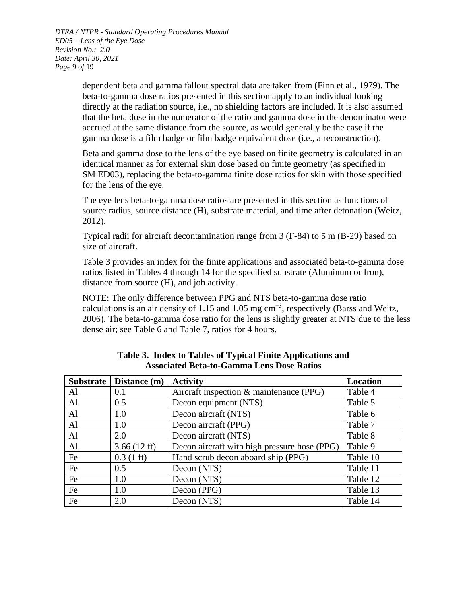*DTRA / NTPR - Standard Operating Procedures Manual ED05 – Lens of the Eye Dose Revision No.: 2.0 Date: April 30, 2021 Page* 9 *of* 19

> dependent beta and gamma fallout spectral data are taken from (Finn et al., 1979). The beta-to-gamma dose ratios presented in this section apply to an individual looking directly at the radiation source, i.e., no shielding factors are included. It is also assumed that the beta dose in the numerator of the ratio and gamma dose in the denominator were accrued at the same distance from the source, as would generally be the case if the gamma dose is a film badge or film badge equivalent dose (i.e., a reconstruction).

Beta and gamma dose to the lens of the eye based on finite geometry is calculated in an identical manner as for external skin dose based on finite geometry (as specified in SM ED03), replacing the beta-to-gamma finite dose ratios for skin with those specified for the lens of the eye.

The eye lens beta-to-gamma dose ratios are presented in this section as functions of source radius, source distance (H), substrate material, and time after detonation (Weitz, 2012).

Typical radii for aircraft decontamination range from 3 (F-84) to 5 m (B-29) based on size of aircraft.

[Table 3](#page-8-0) provides an index for the finite applications and associated beta-to-gamma dose ratios listed in Tables 4 through 14 for the specified substrate (Aluminum or Iron), distance from source (H), and job activity.

NOTE: The only difference between PPG and NTS beta-to-gamma dose ratio calculations is an air density of 1.15 and 1.05 mg  $cm^{-3}$ , respectively (Barss and Weitz, 2006). The beta-to-gamma dose ratio for the lens is slightly greater at NTS due to the less dense air; see [Table 6](#page-10-0) and [Table 7,](#page-10-1) ratios for 4 hours.

<span id="page-8-0"></span>

| <b>Substrate</b> | Distance (m)          | <b>Activity</b>                              | Location |
|------------------|-----------------------|----------------------------------------------|----------|
| Al               | 0.1                   | Aircraft inspection & maintenance (PPG)      | Table 4  |
| $\mathbf{A}$     | 0.5                   | Decon equipment (NTS)                        | Table 5  |
| $\mathbf{A}$ l   | 1.0                   | Decon aircraft (NTS)                         | Table 6  |
| Al               | 1.0                   | Decon aircraft (PPG)                         | Table 7  |
| $\mathbf{A}$     | 2.0                   | Decon aircraft (NTS)                         | Table 8  |
| $\mathbf{A}$ l   | $3.66(12 \text{ ft})$ | Decon aircraft with high pressure hose (PPG) | Table 9  |
| Fe               | $0.3(1 \text{ ft})$   | Hand scrub decon aboard ship (PPG)           | Table 10 |
| Fe               | 0.5                   | Decon (NTS)                                  | Table 11 |
| Fe               | 1.0                   | Decon (NTS)                                  | Table 12 |
| Fe               | 1.0                   | Decon (PPG)                                  | Table 13 |
| Fe               | 2.0                   | Decon (NTS)                                  | Table 14 |

#### **Table 3. Index to Tables of Typical Finite Applications and Associated Beta-to-Gamma Lens Dose Ratios**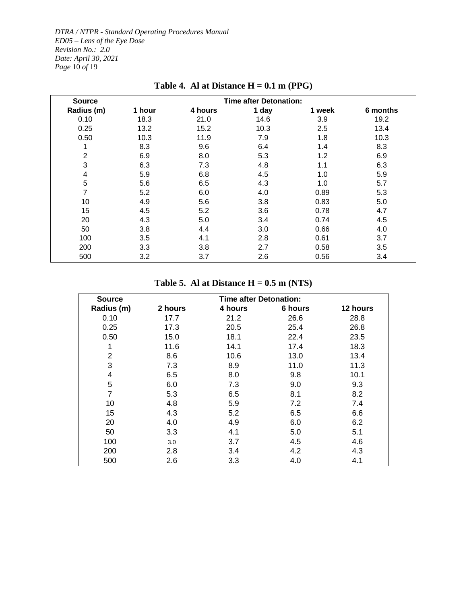*DTRA / NTPR - Standard Operating Procedures Manual ED05 – Lens of the Eye Dose Revision No.: 2.0 Date: April 30, 2021 Page* 10 *of* 19

<span id="page-9-0"></span>

| <b>Source</b>  |        |         | <b>Time after Detonation:</b> |        |          |
|----------------|--------|---------|-------------------------------|--------|----------|
| Radius (m)     | 1 hour | 4 hours | 1 day                         | 1 week | 6 months |
| 0.10           | 18.3   | 21.0    | 14.6                          | 3.9    | 19.2     |
| 0.25           | 13.2   | 15.2    | 10.3                          | 2.5    | 13.4     |
| 0.50           | 10.3   | 11.9    | 7.9                           | 1.8    | 10.3     |
| 1              | 8.3    | 9.6     | 6.4                           | 1.4    | 8.3      |
| $\overline{2}$ | 6.9    | 8.0     | 5.3                           | 1.2    | 6.9      |
| 3              | 6.3    | 7.3     | 4.8                           | 1.1    | 6.3      |
| 4              | 5.9    | 6.8     | 4.5                           | 1.0    | 5.9      |
| 5              | 5.6    | 6.5     | 4.3                           | 1.0    | 5.7      |
| 7              | 5.2    | 6.0     | 4.0                           | 0.89   | 5.3      |
| 10             | 4.9    | 5.6     | 3.8                           | 0.83   | 5.0      |
| 15             | 4.5    | 5.2     | 3.6                           | 0.78   | 4.7      |
| 20             | 4.3    | 5.0     | 3.4                           | 0.74   | 4.5      |
| 50             | 3.8    | 4.4     | 3.0                           | 0.66   | 4.0      |
| 100            | 3.5    | 4.1     | 2.8                           | 0.61   | 3.7      |
| 200            | 3.3    | 3.8     | 2.7                           | 0.58   | 3.5      |
| 500            | 3.2    | 3.7     | 2.6                           | 0.56   | 3.4      |

## **Table 4. Al at Distance H = 0.1 m (PPG)**

### **Table 5. Al at Distance H = 0.5 m (NTS)**

<span id="page-9-1"></span>

| <b>Source</b>  |         | <b>Time after Detonation:</b> |         |          |
|----------------|---------|-------------------------------|---------|----------|
| Radius (m)     | 2 hours | 4 hours                       | 6 hours | 12 hours |
| 0.10           | 17.7    | 21.2                          | 26.6    | 28.8     |
| 0.25           | 17.3    | 20.5                          | 25.4    | 26.8     |
| 0.50           | 15.0    | 18.1                          | 22.4    | 23.5     |
|                | 11.6    | 14.1                          | 17.4    | 18.3     |
| $\overline{2}$ | 8.6     | 10.6                          | 13.0    | 13.4     |
| 3              | 7.3     | 8.9                           | 11.0    | 11.3     |
| 4              | 6.5     | 8.0                           | 9.8     | 10.1     |
| 5              | 6.0     | 7.3                           | 9.0     | 9.3      |
| 7              | 5.3     | 6.5                           | 8.1     | 8.2      |
| 10             | 4.8     | 5.9                           | 7.2     | 7.4      |
| 15             | 4.3     | 5.2                           | 6.5     | 6.6      |
| 20             | 4.0     | 4.9                           | 6.0     | 6.2      |
| 50             | 3.3     | 4.1                           | 5.0     | 5.1      |
| 100            | 3.0     | 3.7                           | 4.5     | 4.6      |
| 200            | 2.8     | 3.4                           | 4.2     | 4.3      |
| 500            | 2.6     | 3.3                           | 4.0     | 4.1      |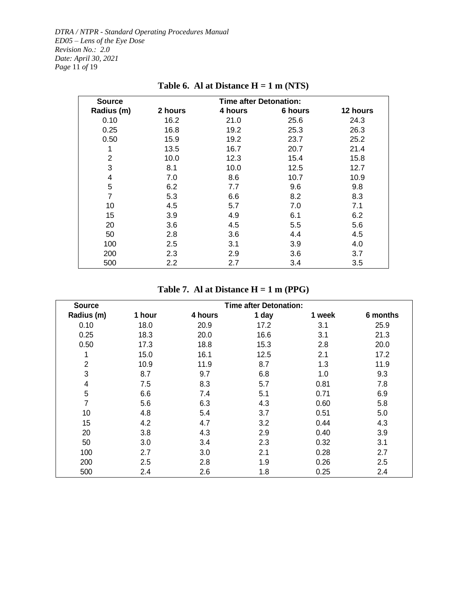*DTRA / NTPR - Standard Operating Procedures Manual ED05 – Lens of the Eye Dose Revision No.: 2.0 Date: April 30, 2021 Page* 11 *of* 19

<span id="page-10-0"></span>

| <b>Source</b>  |         | <b>Time after Detonation:</b> |         |          |
|----------------|---------|-------------------------------|---------|----------|
| Radius (m)     | 2 hours | 4 hours                       | 6 hours | 12 hours |
| 0.10           | 16.2    | 21.0                          | 25.6    | 24.3     |
| 0.25           | 16.8    | 19.2                          | 25.3    | 26.3     |
| 0.50           | 15.9    | 19.2                          | 23.7    | 25.2     |
|                | 13.5    | 16.7                          | 20.7    | 21.4     |
| $\overline{2}$ | 10.0    | 12.3                          | 15.4    | 15.8     |
| 3              | 8.1     | 10.0                          | 12.5    | 12.7     |
| 4              | 7.0     | 8.6                           | 10.7    | 10.9     |
| 5              | 6.2     | 7.7                           | 9.6     | 9.8      |
| $\overline{7}$ | 5.3     | 6.6                           | 8.2     | 8.3      |
| 10             | 4.5     | 5.7                           | 7.0     | 7.1      |
| 15             | 3.9     | 4.9                           | 6.1     | 6.2      |
| 20             | 3.6     | 4.5                           | 5.5     | 5.6      |
| 50             | 2.8     | 3.6                           | 4.4     | 4.5      |
| 100            | $2.5\,$ | 3.1                           | 3.9     | 4.0      |
| 200            | 2.3     | 2.9                           | 3.6     | 3.7      |
| 500            | 2.2     | 2.7                           | 3.4     | 3.5      |

## **Table 6. Al at Distance H = 1 m (NTS)**

### **Table 7. Al at Distance H = 1 m (PPG)**

<span id="page-10-1"></span>

| <b>Source</b>           |        |         | <b>Time after Detonation:</b> |        |          |
|-------------------------|--------|---------|-------------------------------|--------|----------|
| Radius (m)              | 1 hour | 4 hours | 1 day                         | 1 week | 6 months |
| 0.10                    | 18.0   | 20.9    | 17.2                          | 3.1    | 25.9     |
| 0.25                    | 18.3   | 20.0    | 16.6                          | 3.1    | 21.3     |
| 0.50                    | 17.3   | 18.8    | 15.3                          | 2.8    | 20.0     |
|                         | 15.0   | 16.1    | 12.5                          | 2.1    | 17.2     |
| 2                       | 10.9   | 11.9    | 8.7                           | 1.3    | 11.9     |
| 3                       | 8.7    | 9.7     | 6.8                           | 1.0    | 9.3      |
| $\overline{\mathbf{4}}$ | 7.5    | 8.3     | 5.7                           | 0.81   | 7.8      |
| 5                       | 6.6    | 7.4     | 5.1                           | 0.71   | 6.9      |
| 7                       | 5.6    | 6.3     | 4.3                           | 0.60   | 5.8      |
| 10                      | 4.8    | 5.4     | 3.7                           | 0.51   | 5.0      |
| 15                      | 4.2    | 4.7     | 3.2                           | 0.44   | 4.3      |
| 20                      | 3.8    | 4.3     | 2.9                           | 0.40   | 3.9      |
| 50                      | 3.0    | 3.4     | 2.3                           | 0.32   | 3.1      |
| 100                     | 2.7    | 3.0     | 2.1                           | 0.28   | 2.7      |
| 200                     | 2.5    | 2.8     | 1.9                           | 0.26   | 2.5      |
| 500                     | 2.4    | 2.6     | 1.8                           | 0.25   | 2.4      |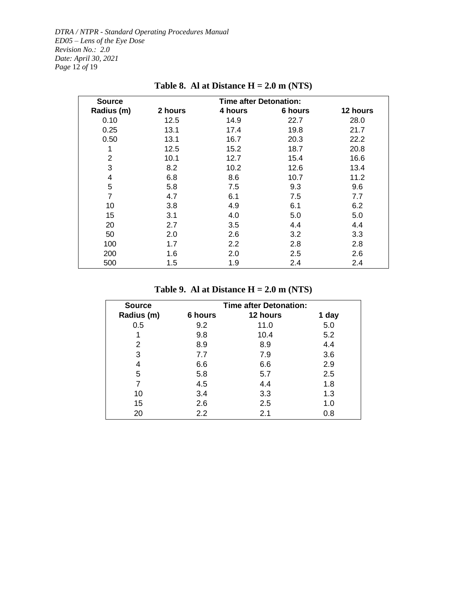*DTRA / NTPR - Standard Operating Procedures Manual ED05 – Lens of the Eye Dose Revision No.: 2.0 Date: April 30, 2021 Page* 12 *of* 19

<span id="page-11-0"></span>

| <b>Source</b>  |         | <b>Time after Detonation:</b> |         |                  |
|----------------|---------|-------------------------------|---------|------------------|
| Radius (m)     | 2 hours | 4 hours                       | 6 hours | 12 hours         |
| 0.10           | 12.5    | 14.9                          | 22.7    | 28.0             |
| 0.25           | 13.1    | 17.4                          | 19.8    | 21.7             |
| 0.50           | 13.1    | 16.7                          | 20.3    | 22.2             |
| 1              | 12.5    | 15.2                          | 18.7    | 20.8             |
| $\overline{2}$ | 10.1    | 12.7                          | 15.4    | 16.6             |
| 3              | 8.2     | 10.2                          | 12.6    | 13.4             |
| 4              | 6.8     | 8.6                           | 10.7    | 11.2             |
| 5              | 5.8     | 7.5                           | 9.3     | 9.6              |
| 7              | 4.7     | 6.1                           | 7.5     | 7.7              |
| 10             | 3.8     | 4.9                           | 6.1     | 6.2              |
| 15             | 3.1     | 4.0                           | 5.0     | 5.0              |
| 20             | 2.7     | 3.5                           | 4.4     | 4.4              |
| 50             | 2.0     | 2.6                           | 3.2     | 3.3 <sub>2</sub> |
| 100            | 1.7     | 2.2                           | 2.8     | 2.8              |
| 200            | 1.6     | 2.0                           | $2.5\,$ | 2.6              |
| 500            | 1.5     | 1.9                           | 2.4     | 2.4              |

## **Table 8. Al at Distance H = 2.0 m (NTS)**

### **Table 9. Al at Distance H = 2.0 m (NTS)**

<span id="page-11-1"></span>

| <b>Source</b> | <b>Time after Detonation:</b> |          |       |  |  |
|---------------|-------------------------------|----------|-------|--|--|
| Radius (m)    | 6 hours                       | 12 hours | 1 day |  |  |
| 0.5           | 9.2                           | 11.0     | 5.0   |  |  |
| 1             | 9.8                           | 10.4     | 5.2   |  |  |
| 2             | 8.9                           | 8.9      | 4.4   |  |  |
| 3             | 7.7                           | 7.9      | 3.6   |  |  |
| 4             | 6.6                           | 6.6      | 2.9   |  |  |
| 5             | 5.8                           | 5.7      | 2.5   |  |  |
|               | 4.5                           | 4.4      | 1.8   |  |  |
| 10            | 3.4                           | 3.3      | 1.3   |  |  |
| 15            | 2.6                           | 2.5      | 1.0   |  |  |
| 20            | 2.2                           | 2.1      | 0.8   |  |  |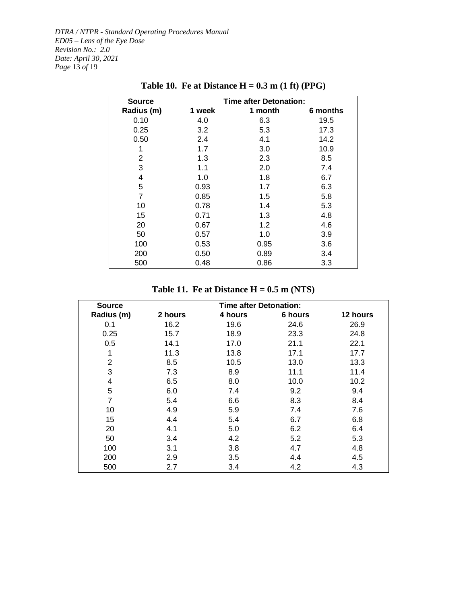<span id="page-12-0"></span>*DTRA / NTPR - Standard Operating Procedures Manual ED05 – Lens of the Eye Dose Revision No.: 2.0 Date: April 30, 2021 Page* 13 *of* 19

| <b>Source</b>  |        | <b>Time after Detonation:</b> |          |
|----------------|--------|-------------------------------|----------|
| Radius (m)     | 1 week | 1 month                       | 6 months |
| 0.10           | 4.0    | 6.3                           | 19.5     |
| 0.25           | 3.2    | 5.3                           | 17.3     |
| 0.50           | 2.4    | 4.1                           | 14.2     |
| 1              | 1.7    | 3.0                           | 10.9     |
| 2              | 1.3    | 2.3                           | 8.5      |
| 3              | 1.1    | 2.0                           | 7.4      |
| 4              | 1.0    | 1.8                           | 6.7      |
| 5              | 0.93   | 1.7                           | 6.3      |
| $\overline{7}$ | 0.85   | 1.5                           | 5.8      |
| 10             | 0.78   | 1.4                           | 5.3      |
| 15             | 0.71   | 1.3                           | 4.8      |
| 20             | 0.67   | 1.2                           | 4.6      |
| 50             | 0.57   | 1.0                           | 3.9      |
| 100            | 0.53   | 0.95                          | 3.6      |
| 200            | 0.50   | 0.89                          | 3.4      |
| 500            | 0.48   | 0.86                          | 3.3      |
|                |        |                               |          |

## **Table 10. Fe at Distance H = 0.3 m (1 ft) (PPG)**

**Table 11. Fe at Distance H = 0.5 m (NTS)**

<span id="page-12-1"></span>

| <b>Source</b>  | <b>Time after Detonation:</b> |         |         |          |  |  |
|----------------|-------------------------------|---------|---------|----------|--|--|
| Radius (m)     | 2 hours                       | 4 hours | 6 hours | 12 hours |  |  |
| 0.1            | 16.2                          | 19.6    | 24.6    | 26.9     |  |  |
| 0.25           | 15.7                          | 18.9    | 23.3    | 24.8     |  |  |
| 0.5            | 14.1                          | 17.0    | 21.1    | 22.1     |  |  |
| 1              | 11.3                          | 13.8    | 17.1    | 17.7     |  |  |
| $\overline{2}$ | 8.5                           | 10.5    | 13.0    | 13.3     |  |  |
| 3              | 7.3                           | 8.9     | 11.1    | 11.4     |  |  |
| 4              | 6.5                           | 8.0     | 10.0    | 10.2     |  |  |
| 5              | 6.0                           | 7.4     | 9.2     | 9.4      |  |  |
| $\overline{7}$ | 5.4                           | 6.6     | 8.3     | 8.4      |  |  |
| 10             | 4.9                           | 5.9     | 7.4     | 7.6      |  |  |
| 15             | 4.4                           | 5.4     | 6.7     | 6.8      |  |  |
| 20             | 4.1                           | 5.0     | 6.2     | 6.4      |  |  |
| 50             | 3.4                           | 4.2     | 5.2     | 5.3      |  |  |
| 100            | 3.1                           | 3.8     | 4.7     | 4.8      |  |  |
| 200            | 2.9                           | 3.5     | 4.4     | 4.5      |  |  |
| 500            | 2.7                           | 3.4     | 4.2     | 4.3      |  |  |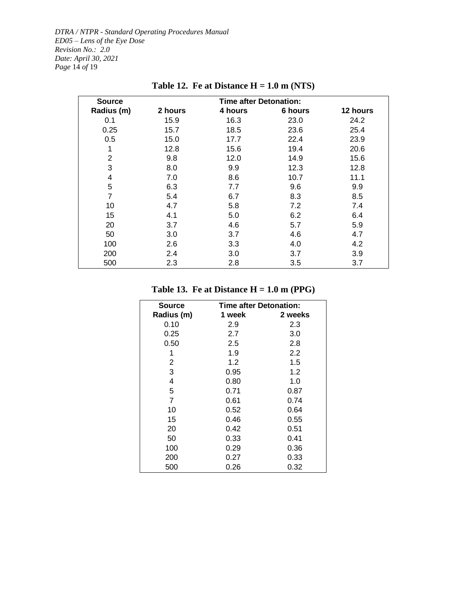*DTRA / NTPR - Standard Operating Procedures Manual ED05 – Lens of the Eye Dose Revision No.: 2.0 Date: April 30, 2021 Page* 14 *of* 19

<span id="page-13-0"></span>

| <b>Source</b>  | <b>Time after Detonation:</b> |         |         |          |  |  |  |
|----------------|-------------------------------|---------|---------|----------|--|--|--|
| Radius (m)     | 2 hours                       | 4 hours | 6 hours | 12 hours |  |  |  |
| 0.1            | 15.9                          | 16.3    | 23.0    | 24.2     |  |  |  |
| 0.25           | 15.7                          | 18.5    | 23.6    | 25.4     |  |  |  |
| 0.5            | 15.0                          | 17.7    | 22.4    | 23.9     |  |  |  |
| 1              | 12.8                          | 15.6    | 19.4    | 20.6     |  |  |  |
| $\overline{2}$ | 9.8                           | 12.0    | 14.9    | 15.6     |  |  |  |
| 3              | 8.0                           | 9.9     | 12.3    | 12.8     |  |  |  |
| 4              | 7.0                           | 8.6     | 10.7    | 11.1     |  |  |  |
| 5              | 6.3                           | 7.7     | 9.6     | 9.9      |  |  |  |
| $\overline{7}$ | 5.4                           | 6.7     | 8.3     | 8.5      |  |  |  |
| 10             | 4.7                           | 5.8     | 7.2     | 7.4      |  |  |  |
| 15             | 4.1                           | 5.0     | 6.2     | 6.4      |  |  |  |
| 20             | 3.7                           | 4.6     | 5.7     | 5.9      |  |  |  |
| 50             | 3.0                           | 3.7     | 4.6     | 4.7      |  |  |  |
| 100            | 2.6                           | 3.3     | 4.0     | 4.2      |  |  |  |
| 200            | 2.4                           | 3.0     | 3.7     | 3.9      |  |  |  |
| 500            | 2.3                           | 2.8     | 3.5     | 3.7      |  |  |  |

**Table 12. Fe at Distance H = 1.0 m (NTS)**

### **Table 13. Fe at Distance H = 1.0 m (PPG)**

<span id="page-13-1"></span>

| Source     | <b>Time after Detonation:</b> |         |  |  |  |
|------------|-------------------------------|---------|--|--|--|
| Radius (m) | 1 week                        | 2 weeks |  |  |  |
| 0.10       | 2.9                           | 2.3     |  |  |  |
| 0.25       | 2.7                           | 3.0     |  |  |  |
| 0.50       | 2.5                           | 2.8     |  |  |  |
| 1          | 1.9                           | 2.2     |  |  |  |
| 2          | 1.2                           | 1.5     |  |  |  |
| 3          | 0.95                          | 1.2     |  |  |  |
| 4          | 0.80                          | 1.0     |  |  |  |
| 5          | 0.71                          | 0.87    |  |  |  |
| 7          | 0.61                          | 0.74    |  |  |  |
| 10         | 0.52                          | 0.64    |  |  |  |
| 15         | 0.46                          | 0.55    |  |  |  |
| 20         | 0.42                          | 0.51    |  |  |  |
| 50         | 0.33                          | 0.41    |  |  |  |
| 100        | 0.29                          | 0.36    |  |  |  |
| 200        | 0.27                          | 0.33    |  |  |  |
| 500        | 0.26                          | 0.32    |  |  |  |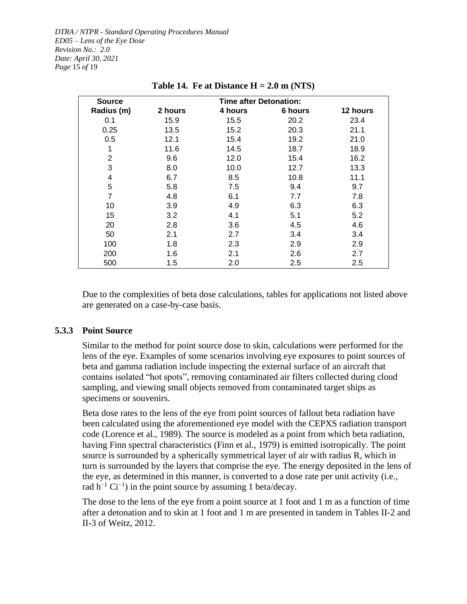*DTRA / NTPR - Standard Operating Procedures Manual ED05 – Lens of the Eye Dose Revision No.: 2.0 Date: April 30, 2021 Page* 15 *of* 19

<span id="page-14-1"></span>

| <b>Source</b>  |         | <b>Time after Detonation:</b> |         |          |
|----------------|---------|-------------------------------|---------|----------|
| Radius (m)     | 2 hours | 4 hours                       | 6 hours | 12 hours |
| 0.1            | 15.9    | 15.5                          | 20.2    | 23.4     |
| 0.25           | 13.5    | 15.2                          | 20.3    | 21.1     |
| 0.5            | 12.1    | 15.4                          | 19.2    | 21.0     |
| 1              | 11.6    | 14.5                          | 18.7    | 18.9     |
| $\overline{2}$ | 9.6     | 12.0                          | 15.4    | 16.2     |
| 3              | 8.0     | 10.0                          | 12.7    | 13.3     |
| $\overline{4}$ | 6.7     | 8.5                           | 10.8    | 11.1     |
| 5              | 5.8     | 7.5                           | 9.4     | 9.7      |
| $\overline{7}$ | 4.8     | 6.1                           | 7.7     | 7.8      |
| 10             | 3.9     | 4.9                           | 6.3     | 6.3      |
| 15             | 3.2     | 4.1                           | 5.1     | 5.2      |
| 20             | 2.8     | 3.6                           | 4.5     | 4.6      |
| 50             | 2.1     | 2.7                           | 3.4     | 3.4      |
| 100            | 1.8     | 2.3                           | 2.9     | 2.9      |
| 200            | 1.6     | 2.1                           | 2.6     | 2.7      |
| 500            | 1.5     | 2.0                           | 2.5     | $2.5\,$  |

**Table 14. Fe at Distance H = 2.0 m (NTS)**

Due to the complexities of beta dose calculations, tables for applications not listed above are generated on a case-by-case basis.

#### <span id="page-14-0"></span>**5.3.3 Point Source**

Similar to the method for point source dose to skin, calculations were performed for the lens of the eye. Examples of some scenarios involving eye exposures to point sources of beta and gamma radiation include inspecting the external surface of an aircraft that contains isolated "hot spots", removing contaminated air filters collected during cloud sampling, and viewing small objects removed from contaminated target ships as specimens or souvenirs.

Beta dose rates to the lens of the eye from point sources of fallout beta radiation have been calculated using the aforementioned eye model with the CEPXS radiation transport code (Lorence et al., 1989). The source is modeled as a point from which beta radiation, having Finn spectral characteristics (Finn et al., 1979) is emitted isotropically. The point source is surrounded by a spherically symmetrical layer of air with radius R, which in turn is surrounded by the layers that comprise the eye. The energy deposited in the lens of the eye, as determined in this manner, is converted to a dose rate per unit activity (i.e., rad  $h^{-1}$  Ci<sup>-1</sup>) in the point source by assuming 1 beta/decay.

The dose to the lens of the eye from a point source at 1 foot and 1 m as a function of time after a detonation and to skin at 1 foot and 1 m are presented in tandem in Tables II-2 and II-3 of Weitz, 2012.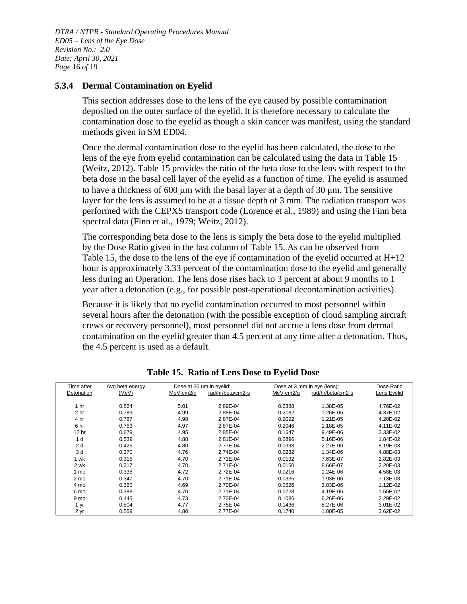*DTRA / NTPR - Standard Operating Procedures Manual ED05 – Lens of the Eye Dose Revision No.: 2.0 Date: April 30, 2021 Page* 16 *of* 19

#### <span id="page-15-0"></span>**5.3.4 Dermal Contamination on Eyelid**

This section addresses dose to the lens of the eye caused by possible contamination deposited on the outer surface of the eyelid. It is therefore necessary to calculate the contamination dose to the eyelid as though a skin cancer was manifest, using the standard methods given in SM ED04.

Once the dermal contamination dose to the eyelid has been calculated, the dose to the lens of the eye from eyelid contamination can be calculated using the data in [Table](#page-15-1) 15 (Weitz, 2012). [Table](#page-15-1) 15 provides the ratio of the beta dose to the lens with respect to the beta dose in the basal cell layer of the eyelid as a function of time. The eyelid is assumed to have a thickness of  $600 \mu m$  with the basal layer at a depth of  $30 \mu m$ . The sensitive layer for the lens is assumed to be at a tissue depth of 3 mm. The radiation transport was performed with the CEPXS transport code (Lorence et al., 1989) and using the Finn beta spectral data (Finn et al., 1979; Weitz, 2012).

The corresponding beta dose to the lens is simply the beta dose to the eyelid multiplied by the Dose Ratio given in the last column of [Table](#page-15-1) 15. As can be observed from [Table](#page-15-1) 15, the dose to the lens of the eye if contamination of the eyelid occurred at  $H+12$ hour is approximately 3.33 percent of the contamination dose to the eyelid and generally less during an Operation. The lens dose rises back to 3 percent at about 9 months to 1 year after a detonation (e.g., for possible post-operational decontamination activities).

Because it is likely that no eyelid contamination occurred to most personnel within several hours after the detonation (with the possible exception of cloud sampling aircraft crews or recovery personnel), most personnel did not accrue a lens dose from dermal contamination on the eyelid greater than 4.5 percent at any time after a detonation. Thus, the 4.5 percent is used as a default.

<span id="page-15-1"></span>

| Time after       | Avg beta energy | Dose at 30 um in eyelid: |                   | Dose at 3 mm in eye (lens): |                   |             | Dose Ratio |
|------------------|-----------------|--------------------------|-------------------|-----------------------------|-------------------|-------------|------------|
| Detonation       | (MeV)           | MeV-cm2/g                | rad/hr/beta/cm2-s | MeV-cm2/g                   | rad/hr/beta/cm2-s | Lens:Eyelid |            |
| 1 <sub>hr</sub>  | 0.824           | 5.01                     | 2.89E-04          | 0.2388                      | 1.38E-05          | 4.76E-02    |            |
| 2 <sub>hr</sub>  | 0.789           | 4.99                     | 2.88E-04          | 0.2182                      | 1.26E-05          | 4.37E-02    |            |
| 4 hr             | 0.767           | 4.98                     | 2.87E-04          | 0.2092                      | 1.21E-05          | 4.20E-02    |            |
| 6 hr             | 0.753           | 4.97                     | 2.87E-04          | 0.2046                      | 1.18E-05          | 4.11E-02    |            |
| 12 <sub>hr</sub> | 0.679           | 4.95                     | 2.85E-04          | 0.1647                      | 9.49E-06          | 3.33E-02    |            |
| 1 <sub>d</sub>   | 0.539           | 4.88                     | 2.81E-04          | 0.0896                      | 5.16E-06          | 1.84E-02    |            |
| 2d               | 0.425           | 4.80                     | 2.77E-04          | 0.0393                      | 2.27E-06          | 8.19E-03    |            |
| 3 d              | 0.370           | 4.76                     | 2.74E-04          | 0.0232                      | 1.34E-06          | 4.88E-03    |            |
| 1 wk             | 0.315           | 4.70                     | 2.71E-04          | 0.0132                      | 7.63E-07          | 2.82E-03    |            |
| 2 wk             | 0.317           | 4.70                     | 2.71E-04          | 0.0150                      | 8.66E-07          | 3.20E-03    |            |
| 1 mo             | 0.338           | 4.72                     | 2.72E-04          | 0.0216                      | 1.24E-06          | 4.58E-03    |            |
| 2 mo             | 0.347           | 4.70                     | 2.71E-04          | 0.0335                      | 1.93E-06          | 7.13E-03    |            |
| 4 mo             | 0.360           | 4.69                     | 2.70E-04          | 0.0526                      | 3.03E-06          | 1.12E-02    |            |
| 6 mo             | 0.388           | 4.70                     | 2.71E-04          | 0.0728                      | 4.19E-06          | 1.55E-02    |            |
| 9 <sub>mo</sub>  | 0.445           | 4.73                     | 2.73E-04          | 0.1086                      | 6.26E-06          | 2.29E-02    |            |
| 1 yr             | 0.504           | 4.77                     | 2.75E-04          | 0.1436                      | 8.27E-06          | 3.01E-02    |            |
| 2 yr             | 0.559           | 4.80                     | 2.77E-04          | 0.1740                      | 1.00E-05          | 3.62E-02    |            |

**Table 15. Ratio of Lens Dose to Eyelid Dose**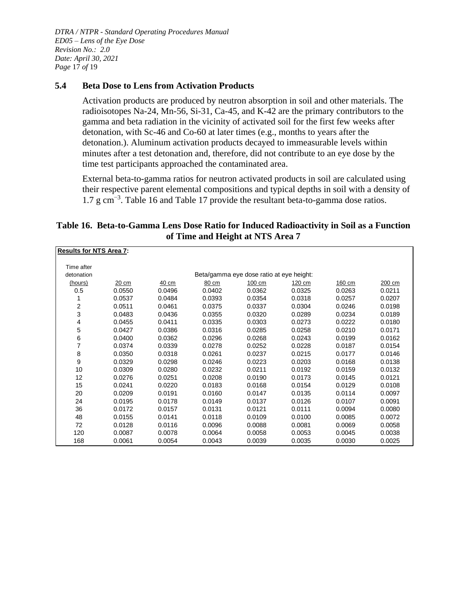*DTRA / NTPR - Standard Operating Procedures Manual ED05 – Lens of the Eye Dose Revision No.: 2.0 Date: April 30, 2021 Page* 17 *of* 19

#### <span id="page-16-0"></span>**5.4 Beta Dose to Lens from Activation Products**

Activation products are produced by neutron absorption in soil and other materials. The radioisotopes Na-24, Mn-56, Si-31, Ca-45, and K-42 are the primary contributors to the gamma and beta radiation in the vicinity of activated soil for the first few weeks after detonation, with Sc-46 and Co-60 at later times (e.g., months to years after the detonation.). Aluminum activation products decayed to immeasurable levels within minutes after a test detonation and, therefore, did not contribute to an eye dose by the time test participants approached the contaminated area.

External beta-to-gamma ratios for neutron activated products in soil are calculated using their respective parent elemental compositions and typical depths in soil with a density of 1.7 g cm−3 . [Table 16](#page-16-1) and [Table 17](#page-17-2) provide the resultant beta-to-gamma dose ratios.

#### <span id="page-16-1"></span>**Table 16. Beta-to-Gamma Lens Dose Ratio for Induced Radioactivity in Soil as a Function of Time and Height at NTS Area 7**

| <b>Results for NTS Area 7:</b> |        |        |        |                                          |        |        |        |
|--------------------------------|--------|--------|--------|------------------------------------------|--------|--------|--------|
| Time after                     |        |        |        |                                          |        |        |        |
| detonation                     |        |        |        | Beta/gamma eye dose ratio at eye height: |        |        |        |
| (hours)                        | 20 cm  | 40 cm  | 80 cm  | 100 cm                                   | 120 cm | 160 cm | 200 cm |
| 0.5                            | 0.0550 | 0.0496 | 0.0402 | 0.0362                                   | 0.0325 | 0.0263 | 0.0211 |
| 1                              | 0.0537 | 0.0484 | 0.0393 | 0.0354                                   | 0.0318 | 0.0257 | 0.0207 |
| 2                              | 0.0511 | 0.0461 | 0.0375 | 0.0337                                   | 0.0304 | 0.0246 | 0.0198 |
| 3                              | 0.0483 | 0.0436 | 0.0355 | 0.0320                                   | 0.0289 | 0.0234 | 0.0189 |
| 4                              | 0.0455 | 0.0411 | 0.0335 | 0.0303                                   | 0.0273 | 0.0222 | 0.0180 |
| 5                              | 0.0427 | 0.0386 | 0.0316 | 0.0285                                   | 0.0258 | 0.0210 | 0.0171 |
| 6                              | 0.0400 | 0.0362 | 0.0296 | 0.0268                                   | 0.0243 | 0.0199 | 0.0162 |
| $\overline{7}$                 | 0.0374 | 0.0339 | 0.0278 | 0.0252                                   | 0.0228 | 0.0187 | 0.0154 |
| 8                              | 0.0350 | 0.0318 | 0.0261 | 0.0237                                   | 0.0215 | 0.0177 | 0.0146 |
| 9                              | 0.0329 | 0.0298 | 0.0246 | 0.0223                                   | 0.0203 | 0.0168 | 0.0138 |
| 10                             | 0.0309 | 0.0280 | 0.0232 | 0.0211                                   | 0.0192 | 0.0159 | 0.0132 |
| 12                             | 0.0276 | 0.0251 | 0.0208 | 0.0190                                   | 0.0173 | 0.0145 | 0.0121 |
| 15                             | 0.0241 | 0.0220 | 0.0183 | 0.0168                                   | 0.0154 | 0.0129 | 0.0108 |
| 20                             | 0.0209 | 0.0191 | 0.0160 | 0.0147                                   | 0.0135 | 0.0114 | 0.0097 |
| 24                             | 0.0195 | 0.0178 | 0.0149 | 0.0137                                   | 0.0126 | 0.0107 | 0.0091 |
| 36                             | 0.0172 | 0.0157 | 0.0131 | 0.0121                                   | 0.0111 | 0.0094 | 0.0080 |
| 48                             | 0.0155 | 0.0141 | 0.0118 | 0.0109                                   | 0.0100 | 0.0085 | 0.0072 |
| 72                             | 0.0128 | 0.0116 | 0.0096 | 0.0088                                   | 0.0081 | 0.0069 | 0.0058 |
| 120                            | 0.0087 | 0.0078 | 0.0064 | 0.0058                                   | 0.0053 | 0.0045 | 0.0038 |
| 168                            | 0.0061 | 0.0054 | 0.0043 | 0.0039                                   | 0.0035 | 0.0030 | 0.0025 |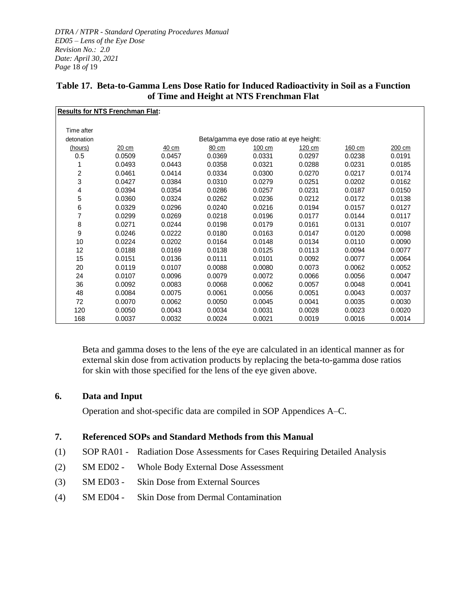*DTRA / NTPR - Standard Operating Procedures Manual ED05 – Lens of the Eye Dose Revision No.: 2.0 Date: April 30, 2021 Page* 18 *of* 19

<span id="page-17-2"></span>

| Table 17. Beta-to-Gamma Lens Dose Ratio for Induced Radioactivity in Soil as a Function |
|-----------------------------------------------------------------------------------------|
| of Time and Height at NTS Frenchman Flat                                                |

|            | <b>Results for NTS Frenchman Flat:</b> |        |        |                                          |        |        |        |
|------------|----------------------------------------|--------|--------|------------------------------------------|--------|--------|--------|
|            |                                        |        |        |                                          |        |        |        |
| Time after |                                        |        |        |                                          |        |        |        |
| detonation |                                        |        |        | Beta/gamma eye dose ratio at eye height: |        |        |        |
| (hours)    | 20 cm                                  | 40 cm  | 80 cm  | 100 cm                                   | 120 cm | 160 cm | 200 cm |
| 0.5        | 0.0509                                 | 0.0457 | 0.0369 | 0.0331                                   | 0.0297 | 0.0238 | 0.0191 |
|            | 0.0493                                 | 0.0443 | 0.0358 | 0.0321                                   | 0.0288 | 0.0231 | 0.0185 |
| 2          | 0.0461                                 | 0.0414 | 0.0334 | 0.0300                                   | 0.0270 | 0.0217 | 0.0174 |
| 3          | 0.0427                                 | 0.0384 | 0.0310 | 0.0279                                   | 0.0251 | 0.0202 | 0.0162 |
| 4          | 0.0394                                 | 0.0354 | 0.0286 | 0.0257                                   | 0.0231 | 0.0187 | 0.0150 |
| 5          | 0.0360                                 | 0.0324 | 0.0262 | 0.0236                                   | 0.0212 | 0.0172 | 0.0138 |
| 6          | 0.0329                                 | 0.0296 | 0.0240 | 0.0216                                   | 0.0194 | 0.0157 | 0.0127 |
| 7          | 0.0299                                 | 0.0269 | 0.0218 | 0.0196                                   | 0.0177 | 0.0144 | 0.0117 |
| 8          | 0.0271                                 | 0.0244 | 0.0198 | 0.0179                                   | 0.0161 | 0.0131 | 0.0107 |
| 9          | 0.0246                                 | 0.0222 | 0.0180 | 0.0163                                   | 0.0147 | 0.0120 | 0.0098 |
| 10         | 0.0224                                 | 0.0202 | 0.0164 | 0.0148                                   | 0.0134 | 0.0110 | 0.0090 |
| 12         | 0.0188                                 | 0.0169 | 0.0138 | 0.0125                                   | 0.0113 | 0.0094 | 0.0077 |
| 15         | 0.0151                                 | 0.0136 | 0.0111 | 0.0101                                   | 0.0092 | 0.0077 | 0.0064 |
| 20         | 0.0119                                 | 0.0107 | 0.0088 | 0.0080                                   | 0.0073 | 0.0062 | 0.0052 |
| 24         | 0.0107                                 | 0.0096 | 0.0079 | 0.0072                                   | 0.0066 | 0.0056 | 0.0047 |
| 36         | 0.0092                                 | 0.0083 | 0.0068 | 0.0062                                   | 0.0057 | 0.0048 | 0.0041 |
| 48         | 0.0084                                 | 0.0075 | 0.0061 | 0.0056                                   | 0.0051 | 0.0043 | 0.0037 |
| 72         | 0.0070                                 | 0.0062 | 0.0050 | 0.0045                                   | 0.0041 | 0.0035 | 0.0030 |
| 120        | 0.0050                                 | 0.0043 | 0.0034 | 0.0031                                   | 0.0028 | 0.0023 | 0.0020 |
| 168        | 0.0037                                 | 0.0032 | 0.0024 | 0.0021                                   | 0.0019 | 0.0016 | 0.0014 |

Beta and gamma doses to the lens of the eye are calculated in an identical manner as for external skin dose from activation products by replacing the beta-to-gamma dose ratios for skin with those specified for the lens of the eye given above.

#### <span id="page-17-0"></span>**6. Data and Input**

Operation and shot-specific data are compiled in SOP Appendices A–C.

#### <span id="page-17-1"></span>**7. Referenced SOPs and Standard Methods from this Manual**

- (1) SOP RA01 Radiation Dose Assessments for Cases Requiring Detailed Analysis
- (2) SM ED02 Whole Body External Dose Assessment
- (3) SM ED03 Skin Dose from External Sources
- (4) SM ED04 Skin Dose from Dermal Contamination